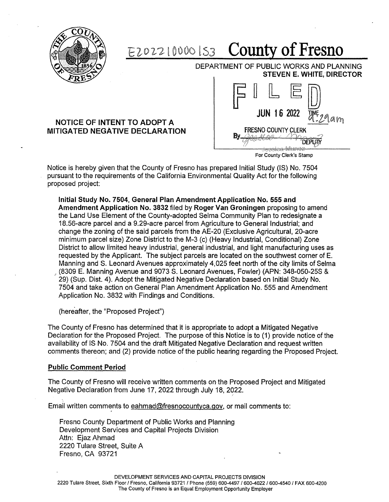

## **County of Fresno**  E202210000153

DEPARTMENT OF PUBLIC WORKS AND PLANNING **STEVEN E. WHITE, DIRECTOR** 

### **NOTICE OF INTENT TO ADOPT A MITIGATED NEGATIVE DECLARATION**



For County Clerk's Stamp

Notice is hereby given that the County of Fresno has prepared Initial Study (IS) No. 7504 pursuant to the requirements of the California Environmental Quality Act for the following proposed project:

**Initial Study No. 7504, General Plan Amendment Application No. 555 and Amendment Application No. 3832** filed by **Roger Van Groningen** proposing to amend the Land Use Element of the County-adopted Selma Community Plan to redesignate a 18.56-acre parcel and a 9.29-acre parcel from Agriculture to General Industrial; and change the zoning of the said parcels from the AE-20 (Exclusive Agricultural, 20-acre minimum parcel size) Zone District to the M-3 (c) (Heavy Industrial, Conditional) Zone District to allow limited heavy industrial, general industrial, and light manufacturing uses as requested by the Applicant. The subject parcels are located on the southwest corner of E. Manning and S. Leonard Avenues approximately 4,025 feet north of the city limits of Selma (8309 E. Manning Avenue and 9073 S. Leonard Avenues, Fowler) (APN: 348-050-25S & 29) (Sup. Dist. 4). Adopt the Mitigated Negative Declaration based on Initial Study No. 7504 and take action on General Plan Amendment Application No. 555 and Amendment Application No. 3832 with Findings and Conditions.

(hereafter, the "Proposed Project")

The County of Fresno has determined that it is appropriate to adopt a Mitigated Negative Declaration for the Proposed Project. The purpose of this Notice is to (1) provide notice of the availability of IS• No. 7504 and the draft Mitigated Negative Declaration and request written comments thereon; and (2) provide notice of the public hearing regarding the Proposed Project.

#### **Public Comment Period**

The County of Fresno will receive written comments on the Proposed Project and Mitigated Negative Declaration from June 17, 2022 through July 18, 2022.

Email written comments to eahmad@fresnocountyca.gov, or mail comments to:

Fresno County Department of Public Works and Planning Development Services and Capital Projects Division Attn: Ejaz Ahmad 2220 Tulare Street, Suite A Fresno, CA 93721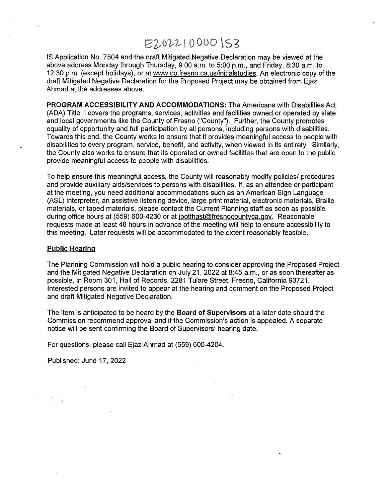# E2022100001S3

IS Application No. 7504 and the draft Mitigated Negative Declaration may be viewed at the above address Monday through Thursday, 9:00 a.m. to 5:00 p.m., and Friday, 8:30 a.m. to 12:30 p.m. (except holidays), or at www.co.fresno.ca.us/initialstudies. An electronic copy of the draft Mitigated Negative Declaration for the Proposed Project may be obtained from Ejaz Ahmad at the addresses above.

**PROGRAM ACCESSIBILITY AND ACCOMMODATIONS:** The Americans with Disabilities Act (ADA) Title II covers the programs, services, activities and facilities owned or operated by state and local governments like the County of Fresno ("County"). Further, the County promotes equality of opportunity and full participation by all persons, including persons with disabilities. Towards this end, the County works to ensure that it provides meaningful access to people with disabilities to every program, service, benefit, and activity, when viewed in its entirety. Similarly, the County also works to ensure that its operated or owned facilities that are open to the public provide meaningful access to people with disabilities.

To help ensure this meaningful access, the County will reasonably modify policies/ procedures and provide auxiliary aids/services to persons with disabilities. If, as an attendee or participant at the meeting, you need additional accommodations such as an American Sign Language (ASL) interpreter, an assistive listening device, large print material, electronic materials, Braille materials, or taped materials, please contact the Current Planning staff as soon as possible during office hours at (559) 600-4230 or at jpotthast@fresnocountyca.gov. Reasonable requests made at least 48 hours in advance of the meeting will help to ensure accessibility to this meeting. Later requests will be accommodated to the extent reasonably feasible.

#### **Public Hearing**

The Planning Commission will hold a public hearing to consider approving the Proposed Project and the Mitigated Negative Declaration on July 21, 2022 at 8:45 a.m., or as soon thereafter as possible, in Room 301, Hall of Records, 2281 Tulare Street, Fresno, California 93721. Interested persons are invited to appear at the hearing and comment on the Proposed Project and draft Mitigated Negative Declaration.

The item is anticipated to be heard by the **Board of Supervisors** at a later date should the Commission recommend approval and if the Commission's action is appealed. A separate notice will be sent confirming the Board of Supervisors' hearing date.

For questions, please call Ejaz Ahmad at (559) 600-4204.

Published: June 17, 2022